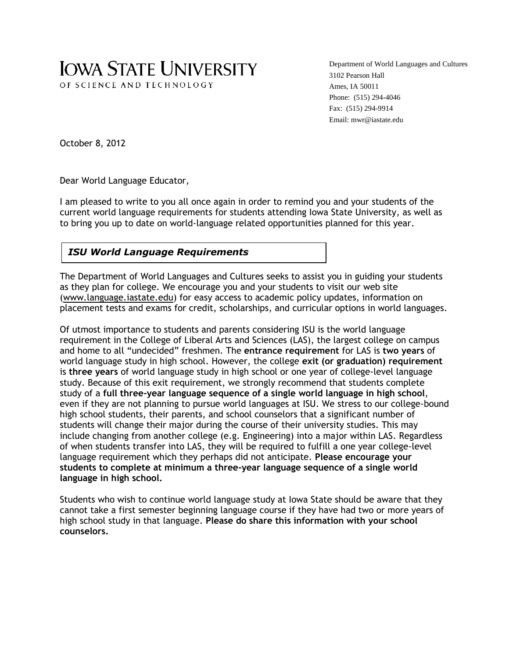# **IOWA STATE UNIVERSITY** OF SCIENCE AND TECHNOLOGY

Department of World Languages and Cultures 3102 Pearson Hall Ames, IA 50011 Phone: (515) 294-4046 Fax: (515) 294-9914 Email: mwr@iastate.edu

October 8, 2012

 $\overline{\phantom{a}}$ 

Dear World Language Educator,

I am pleased to write to you all once again in order to remind you and your students of the current world language requirements for students attending Iowa State University, as well as to bring you up to date on world-language related opportunities planned for this year.

# *ISU World Language Requirements*

The Department of World Languages and Cultures seeks to assist you in guiding your students as they plan for college. We encourage you and your students to visit our web site [\(www.language.iastate.edu\)](http://www.language.iastate.edu/) for easy access to academic policy updates, information on placement tests and exams for credit, scholarships, and curricular options in world languages.

Of utmost importance to students and parents considering ISU is the world language requirement in the College of Liberal Arts and Sciences (LAS), the largest college on campus and home to all "undecided" freshmen. The **entrance requirement** for LAS is **two years** of world language study in high school. However, the college **exit (or graduation) requirement** is **three years** of world language study in high school or one year of college-level language study. Because of this exit requirement, we strongly recommend that students complete study of a **full three-year language sequence of a single world language in high school**, even if they are not planning to pursue world languages at ISU. We stress to our college-bound high school students, their parents, and school counselors that a significant number of students will change their major during the course of their university studies. This may include changing from another college (e.g. Engineering) into a major within LAS. Regardless of when students transfer into LAS, they will be required to fulfill a one year college-level language requirement which they perhaps did not anticipate. **Please encourage your students to complete at minimum a three-year language sequence of a single world language in high school.**

Students who wish to continue world language study at Iowa State should be aware that they cannot take a first semester beginning language course if they have had two or more years of high school study in that language. **Please do share this information with your school counselors.**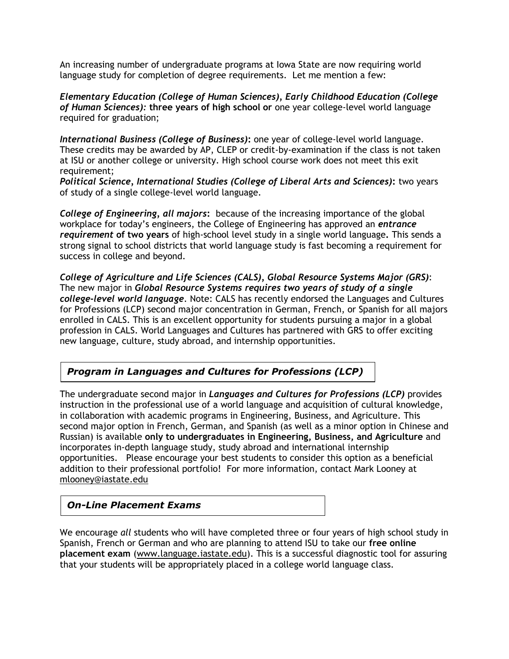An increasing number of undergraduate programs at Iowa State are now requiring world language study for completion of degree requirements. Let me mention a few:

*Elementary Education (College of Human Sciences), Early Childhood Education (College of Human Sciences):* **three years of high school or** one year college-level world language required for graduation;

*International Business (College of Business)***:** one year of college-level world language. These credits may be awarded by AP, CLEP or credit-by-examination if the class is not taken at ISU or another college or university. High school course work does not meet this exit requirement;

*Political Science, International Studies (College of Liberal Arts and Sciences)***:** two years of study of a single college-level world language.

*College of Engineering, all majors***:** because of the increasing importance of the global workplace for today's engineers, the College of Engineering has approved an *entrance requirement* **of two years** of high-school level study in a single world language**.** This sends a strong signal to school districts that world language study is fast becoming a requirement for success in college and beyond.

*College of Agriculture and Life Sciences (CALS), Global Resource Systems Major (GRS)*: The new major in *Global Resource Systems requires two years of study of a single college-level world language*. Note: CALS has recently endorsed the Languages and Cultures for Professions (LCP) second major concentration in German, French, or Spanish for all majors enrolled in CALS. This is an excellent opportunity for students pursuing a major in a global profession in CALS. World Languages and Cultures has partnered with GRS to offer exciting new language, culture, study abroad, and internship opportunities.

## *Program in Languages and Cultures for Professions (LCP)*

The undergraduate second major in *Languages and Cultures for Professions (LCP)* provides instruction in the professional use of a world language and acquisition of cultural knowledge, in collaboration with academic programs in Engineering, Business, and Agriculture. This second major option in French, German, and Spanish (as well as a minor option in Chinese and Russian) is available **only to undergraduates in Engineering, Business, and Agriculture** and incorporates in-depth language study, study abroad and international internship opportunities. Please encourage your best students to consider this option as a beneficial addition to their professional portfolio! For more information, contact Mark Looney at [mlooney@iastate.edu](mailto:mlooney@iastate.edu)

#### *On-Line Placement Exams*

We encourage *all* students who will have completed three or four years of high school study in Spanish, French or German and who are planning to attend ISU to take our **free online placement exam** [\(www.language.iastate.edu\)](http://www.language.iastate.edu/). This is a successful diagnostic tool for assuring that your students will be appropriately placed in a college world language class.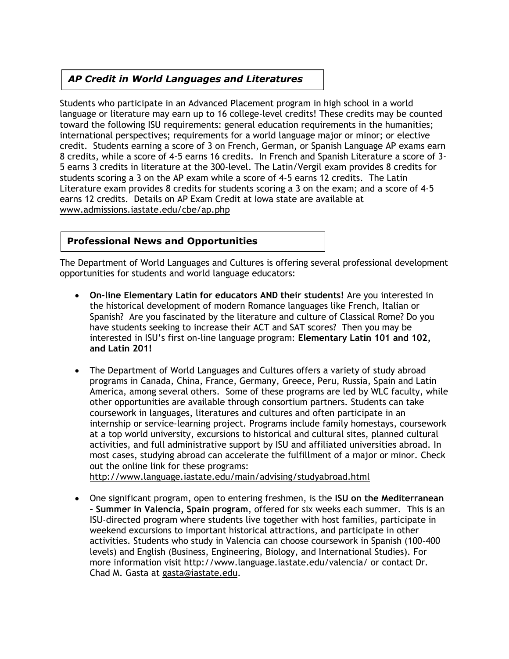# *AP Credit in World Languages and Literatures*

Students who participate in an Advanced Placement program in high school in a world language or literature may earn up to 16 college-level credits! These credits may be counted toward the following ISU requirements: general education requirements in the humanities; international perspectives; requirements for a world language major or minor; or elective credit. Students earning a score of 3 on French, German, or Spanish Language AP exams earn 8 credits, while a score of 4-5 earns 16 credits. In French and Spanish Literature a score of 3- 5 earns 3 credits in literature at the 300-level. The Latin/Vergil exam provides 8 credits for students scoring a 3 on the AP exam while a score of 4-5 earns 12 credits. The Latin Literature exam provides 8 credits for students scoring a 3 on the exam; and a score of 4-5 earns 12 credits. Details on AP Exam Credit at Iowa state are available at [www.admissions.iastate.edu/cbe/ap.php](http://www.admissions.iastate.edu/cbe/ap.php)

### **Professional News and Opportunities**

The Department of World Languages and Cultures is offering several professional development opportunities for students and world language educators:

- **On-line Elementary Latin for educators AND their students!** Are you interested in the historical development of modern Romance languages like French, Italian or Spanish? Are you fascinated by the literature and culture of Classical Rome? Do you have students seeking to increase their ACT and SAT scores? Then you may be interested in ISU's first on-line language program: **Elementary Latin 101 and 102, and Latin 201!**
- The Department of World Languages and Cultures offers a variety of study abroad programs in Canada, China, France, Germany, Greece, Peru, Russia, Spain and Latin America, among several others. Some of these programs are led by WLC faculty, while other opportunities are available through consortium partners. Students can take coursework in languages, literatures and cultures and often participate in an internship or service-learning project. Programs include family homestays, coursework at a top world university, excursions to historical and cultural sites, planned cultural activities, and full administrative support by ISU and affiliated universities abroad. In most cases, studying abroad can accelerate the fulfillment of a major or minor. Check out the online link for these programs:

<http://www.language.iastate.edu/main/advising/studyabroad.html>

 One significant program, open to entering freshmen, is the **ISU on the Mediterranean – Summer in Valencia, Spain program**, offered for six weeks each summer. This is an ISU-directed program where students live together with host families, participate in weekend excursions to important historical attractions, and participate in other activities. Students who study in Valencia can choose coursework in Spanish (100-400 levels) and English (Business, Engineering, Biology, and International Studies). For more information visit<http://www.language.iastate.edu/valencia/> or contact Dr. Chad M. Gasta at [gasta@iastate.edu.](mailto:gasta@iastate.edu)